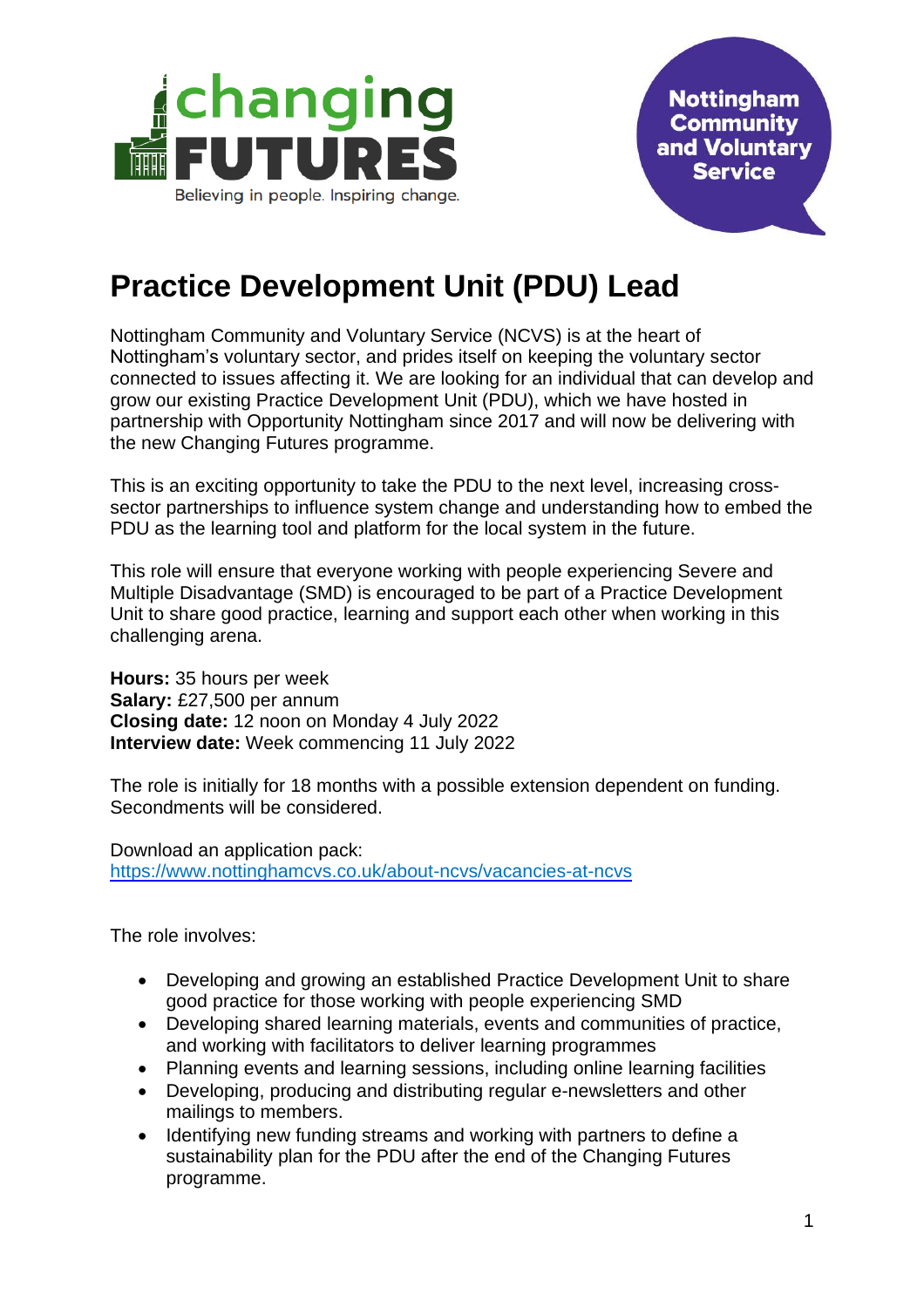

**Nottingham Community** and Voluntary **Service** 

## **Practice Development Unit (PDU) Lead**

Nottingham Community and Voluntary Service (NCVS) is at the heart of Nottingham's voluntary sector, and prides itself on keeping the voluntary sector connected to issues affecting it. We are looking for an individual that can develop and grow our existing Practice Development Unit (PDU), which we have hosted in partnership with Opportunity Nottingham since 2017 and will now be delivering with the new Changing Futures programme.

This is an exciting opportunity to take the PDU to the next level, increasing crosssector partnerships to influence system change and understanding how to embed the PDU as the learning tool and platform for the local system in the future.

This role will ensure that everyone working with people experiencing Severe and Multiple Disadvantage (SMD) is encouraged to be part of a Practice Development Unit to share good practice, learning and support each other when working in this challenging arena.

**Hours:** 35 hours per week **Salary:** £27,500 per annum **Closing date:** 12 noon on Monday 4 July 2022 **Interview date:** Week commencing 11 July 2022

The role is initially for 18 months with a possible extension dependent on funding. Secondments will be considered.

Download an application pack: <https://www.nottinghamcvs.co.uk/about-ncvs/vacancies-at-ncvs>

The role involves:

- Developing and growing an established Practice Development Unit to share good practice for those working with people experiencing SMD
- Developing shared learning materials, events and communities of practice, and working with facilitators to deliver learning programmes
- Planning events and learning sessions, including online learning facilities
- Developing, producing and distributing regular e-newsletters and other mailings to members.
- Identifying new funding streams and working with partners to define a sustainability plan for the PDU after the end of the Changing Futures programme.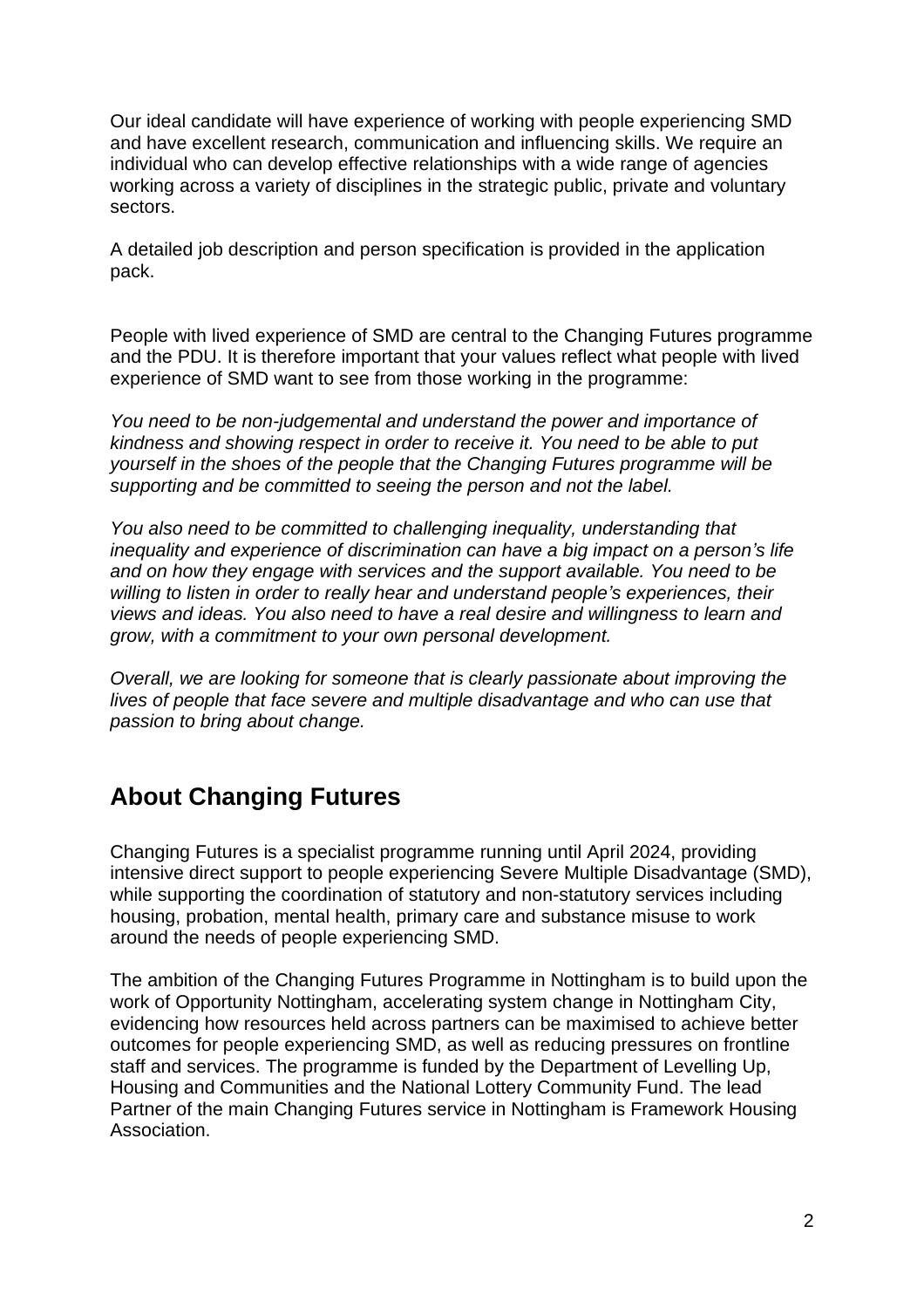Our ideal candidate will have experience of working with people experiencing SMD and have excellent research, communication and influencing skills. We require an individual who can develop effective relationships with a wide range of agencies working across a variety of disciplines in the strategic public, private and voluntary sectors.

A detailed job description and person specification is provided in the application pack.

People with lived experience of SMD are central to the Changing Futures programme and the PDU. It is therefore important that your values reflect what people with lived experience of SMD want to see from those working in the programme:

*You need to be non-judgemental and understand the power and importance of kindness and showing respect in order to receive it. You need to be able to put yourself in the shoes of the people that the Changing Futures programme will be supporting and be committed to seeing the person and not the label.*

*You also need to be committed to challenging inequality, understanding that inequality and experience of discrimination can have a big impact on a person's life and on how they engage with services and the support available. You need to be willing to listen in order to really hear and understand people's experiences, their views and ideas. You also need to have a real desire and willingness to learn and grow, with a commitment to your own personal development.*

*Overall, we are looking for someone that is clearly passionate about improving the lives of people that face severe and multiple disadvantage and who can use that passion to bring about change.*

## **About Changing Futures**

Changing Futures is a specialist programme running until April 2024, providing intensive direct support to people experiencing Severe Multiple Disadvantage (SMD), while supporting the coordination of statutory and non-statutory services including housing, probation, mental health, primary care and substance misuse to work around the needs of people experiencing SMD.

The ambition of the Changing Futures Programme in Nottingham is to build upon the work of Opportunity Nottingham, accelerating system change in Nottingham City, evidencing how resources held across partners can be maximised to achieve better outcomes for people experiencing SMD, as well as reducing pressures on frontline staff and services. The programme is funded by the Department of Levelling Up, Housing and Communities and the National Lottery Community Fund. The lead Partner of the main Changing Futures service in Nottingham is Framework Housing Association.